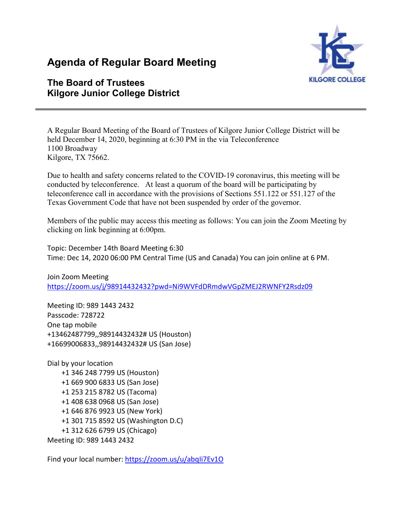# **Agenda of Regular Board Meeting**



# **The Board of Trustees Kilgore Junior College District**

A Regular Board Meeting of the Board of Trustees of Kilgore Junior College District will be held December 14, 2020, beginning at 6:30 PM in the via Teleconference 1100 Broadway Kilgore, TX 75662.

Due to health and safety concerns related to the COVID-19 coronavirus, this meeting will be conducted by teleconference. At least a quorum of the board will be participating by teleconference call in accordance with the provisions of Sections 551.122 or 551.127 of the Texas Government Code that have not been suspended by order of the governor.

Members of the public may access this meeting as follows: You can join the Zoom Meeting by clicking on link beginning at 6:00pm.

Topic: December 14th Board Meeting 6:30 Time: Dec 14, 2020 06:00 PM Central Time (US and Canada) You can join online at 6 PM.

Join Zoom Meeting <https://zoom.us/j/98914432432?pwd=Ni9WVFdDRmdwVGpZMEJ2RWNFY2Rsdz09>

Meeting ID: 989 1443 2432 Passcode: 728722 One tap mobile +13462487799,,98914432432# US (Houston) +16699006833,,98914432432# US (San Jose)

Dial by your location +1 346 248 7799 US (Houston) +1 669 900 6833 US (San Jose) +1 253 215 8782 US (Tacoma) +1 408 638 0968 US (San Jose) +1 646 876 9923 US (New York) +1 301 715 8592 US (Washington D.C) +1 312 626 6799 US (Chicago) Meeting ID: 989 1443 2432

Find your local number:<https://zoom.us/u/abqIi7Ev1O>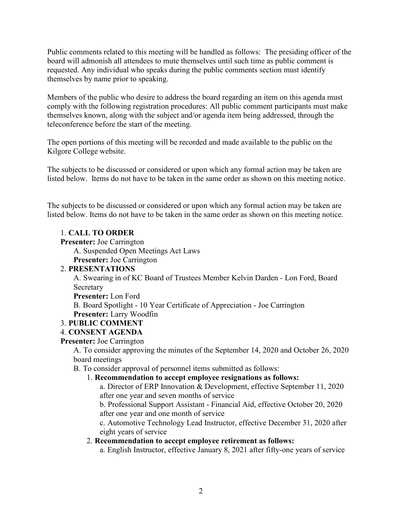Public comments related to this meeting will be handled as follows: The presiding officer of the board will admonish all attendees to mute themselves until such time as public comment is requested. Any individual who speaks during the public comments section must identify themselves by name prior to speaking.

Members of the public who desire to address the board regarding an item on this agenda must comply with the following registration procedures: All public comment participants must make themselves known, along with the subject and/or agenda item being addressed, through the teleconference before the start of the meeting.

The open portions of this meeting will be recorded and made available to the public on the Kilgore College website.

The subjects to be discussed or considered or upon which any formal action may be taken are listed below. Items do not have to be taken in the same order as shown on this meeting notice.

The subjects to be discussed or considered or upon which any formal action may be taken are listed below. Items do not have to be taken in the same order as shown on this meeting notice.

# 1. **CALL TO ORDER**

**Presenter:** Joe Carrington

A. Suspended Open Meetings Act Laws

**Presenter:** Joe Carrington

# 2. **PRESENTATIONS**

A. Swearing in of KC Board of Trustees Member Kelvin Darden - Lon Ford, Board Secretary

**Presenter:** Lon Ford

B. Board Spotlight - 10 Year Certificate of Appreciation - Joe Carrington **Presenter:** Larry Woodfin

# 3. **PUBLIC COMMENT**

#### 4. **CONSENT AGENDA**

#### **Presenter:** Joe Carrington

A. To consider approving the minutes of the September 14, 2020 and October 26, 2020 board meetings

B. To consider approval of personnel items submitted as follows:

# 1. **Recommendation to accept employee resignations as follows:**

a. Director of ERP Innovation & Development, effective September 11, 2020 after one year and seven months of service

b. Professional Support Assistant - Financial Aid, effective October 20, 2020 after one year and one month of service

c. Automotive Technology Lead Instructor, effective December 31, 2020 after eight years of service

# 2. **Recommendation to accept employee retirement as follows:**

a. English Instructor, effective January 8, 2021 after fifty-one years of service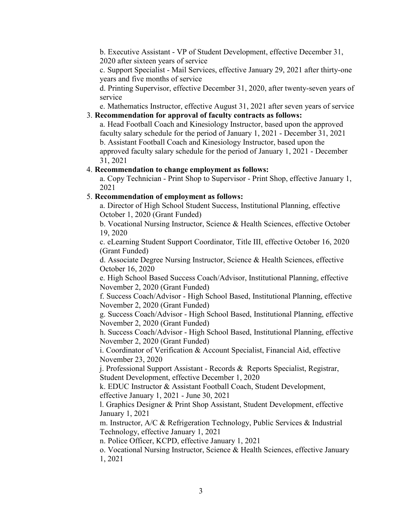b. Executive Assistant - VP of Student Development, effective December 31, 2020 after sixteen years of service

c. Support Specialist - Mail Services, effective January 29, 2021 after thirty-one years and five months of service

d. Printing Supervisor, effective December 31, 2020, after twenty-seven years of service

e. Mathematics Instructor, effective August 31, 2021 after seven years of service 3. **Recommendation for approval of faculty contracts as follows:**

a. Head Football Coach and Kinesiology Instructor, based upon the approved faculty salary schedule for the period of January 1, 2021 - December 31, 2021 b. Assistant Football Coach and Kinesiology Instructor, based upon the approved faculty salary schedule for the period of January 1, 2021 - December 31, 2021

# 4. **Recommendation to change employment as follows:**

a. Copy Technician - Print Shop to Supervisor - Print Shop, effective January 1, 2021

#### 5. **Recommendation of employment as follows:**

a. Director of High School Student Success, Institutional Planning, effective October 1, 2020 (Grant Funded)

b. Vocational Nursing Instructor, Science & Health Sciences, effective October 19, 2020

c. eLearning Student Support Coordinator, Title III, effective October 16, 2020 (Grant Funded)

d. Associate Degree Nursing Instructor, Science & Health Sciences, effective October 16, 2020

e. High School Based Success Coach/Advisor, Institutional Planning, effective November 2, 2020 (Grant Funded)

f. Success Coach/Advisor - High School Based, Institutional Planning, effective November 2, 2020 (Grant Funded)

g. Success Coach/Advisor - High School Based, Institutional Planning, effective November 2, 2020 (Grant Funded)

h. Success Coach/Advisor - High School Based, Institutional Planning, effective November 2, 2020 (Grant Funded)

i. Coordinator of Verification & Account Specialist, Financial Aid, effective November 23, 2020

j. Professional Support Assistant - Records & Reports Specialist, Registrar, Student Development, effective December 1, 2020

k. EDUC Instructor & Assistant Football Coach, Student Development, effective January 1, 2021 - June 30, 2021

l. Graphics Designer & Print Shop Assistant, Student Development, effective January 1, 2021

m. Instructor, A/C & Refrigeration Technology, Public Services & Industrial Technology, effective January 1, 2021

n. Police Officer, KCPD, effective January 1, 2021

o. Vocational Nursing Instructor, Science & Health Sciences, effective January 1, 2021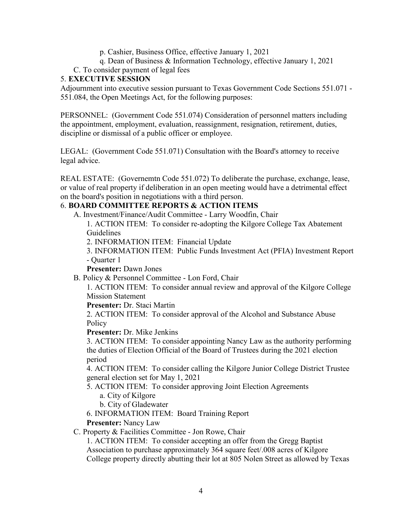- p. Cashier, Business Office, effective January 1, 2021
- q. Dean of Business & Information Technology, effective January 1, 2021

# C. To consider payment of legal fees

#### 5. **EXECUTIVE SESSION**

Adjournment into executive session pursuant to Texas Government Code Sections 551.071 - 551.084, the Open Meetings Act, for the following purposes:

PERSONNEL: (Government Code 551.074) Consideration of personnel matters including the appointment, employment, evaluation, reassignment, resignation, retirement, duties, discipline or dismissal of a public officer or employee.

LEGAL: (Government Code 551.071) Consultation with the Board's attorney to receive legal advice.

REAL ESTATE: (Governemtn Code 551.072) To deliberate the purchase, exchange, lease, or value of real property if deliberation in an open meeting would have a detrimental effect on the board's position in negotiations with a third person.

#### 6. **BOARD COMMITTEE REPORTS & ACTION ITEMS**

A. Investment/Finance/Audit Committee - Larry Woodfin, Chair

1. ACTION ITEM: To consider re-adopting the Kilgore College Tax Abatement Guidelines

2. INFORMATION ITEM: Financial Update

3. INFORMATION ITEM: Public Funds Investment Act (PFIA) Investment Report - Quarter 1

**Presenter:** Dawn Jones

B. Policy & Personnel Committee - Lon Ford, Chair

1. ACTION ITEM: To consider annual review and approval of the Kilgore College Mission Statement

**Presenter:** Dr. Staci Martin

2. ACTION ITEM: To consider approval of the Alcohol and Substance Abuse **Policy** 

**Presenter:** Dr. Mike Jenkins

3. ACTION ITEM: To consider appointing Nancy Law as the authority performing the duties of Election Official of the Board of Trustees during the 2021 election period

4. ACTION ITEM: To consider calling the Kilgore Junior College District Trustee general election set for May 1, 2021

5. ACTION ITEM: To consider approving Joint Election Agreements

a. City of Kilgore

b. City of Gladewater

6. INFORMATION ITEM: Board Training Report

**Presenter:** Nancy Law

C. Property & Facilities Committee - Jon Rowe, Chair

1. ACTION ITEM: To consider accepting an offer from the Gregg Baptist Association to purchase approximately 364 square feet/.008 acres of Kilgore College property directly abutting their lot at 805 Nolen Street as allowed by Texas